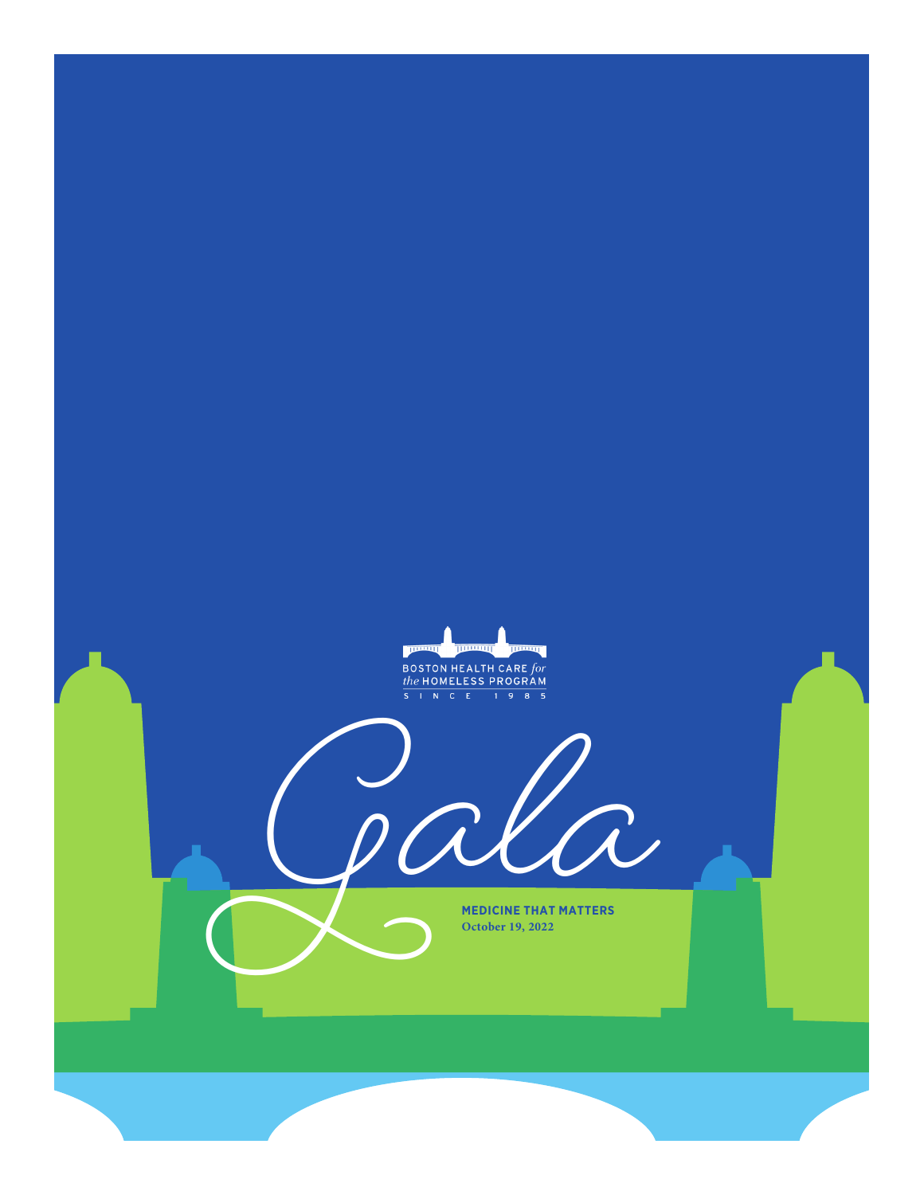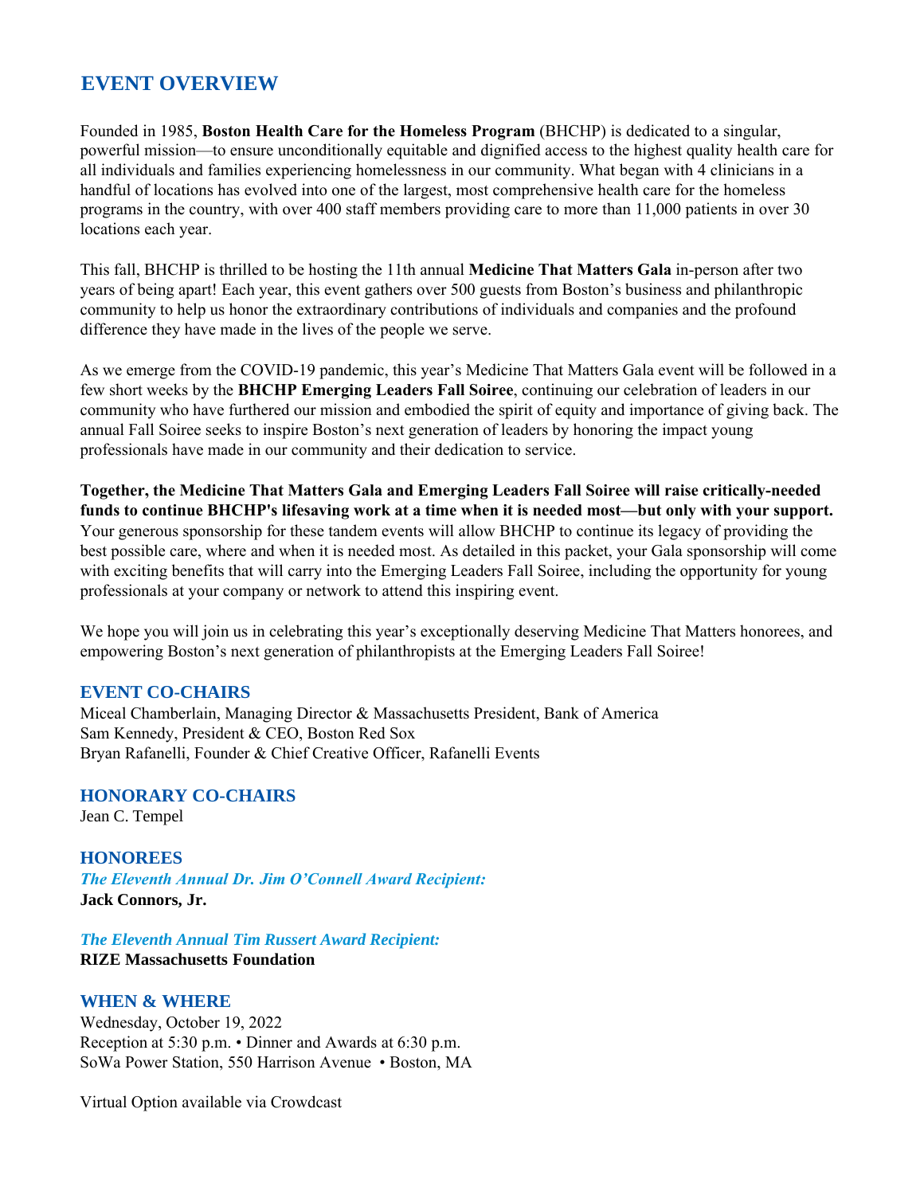# **EVENT OVERVIEW** W

Founded in 1985, **Boston Health Care for the Homeless Program** (BHCHP) is dedicated to a singular, powerful mission—to ensure unconditionally equitable and dignified access to the highest quality health care for all individuals and families experiencing homelessness in our community. What began with 4 clinicians in a handful of locations has evolved into one of the largest, most comprehensive health care for the homeless programs in the country, with over 400 staff members providing care to more than 11,000 patients in over 30 locations each year.

This fall, BHCHP is thrilled to be hosting the 11th annual **Medicine That Matters Gala** in-person after two years of being apart! Each year, this event gathers over 500 guests from Boston's business and philanthropic community to help us honor the extraordinary contributions of individuals and companies and the profound difference they have made in the lives of the people we serve.

As we emerge from the COVID-19 pandemic, this year's Medicine That Matters Gala event will be followed in a few short weeks by the **BHCHP Emerging Leaders Fall Soirée**, continuing our celebration of leaders in our community who have furthered our mission and embodied the spirit of equity and importance of giving back. The annual Fall Soirée seeks to inspire Boston's next generation of leaders by honoring the impact young professionals have made in our community and their dedication to service.

**Together, the Medicine That Matters Gala and Emerging Leaders Fall Soirée will raise critically-needed funds to continue BHCHP's lifesaving work at a time when it is needed most—but only with your support.** Your generous sponsorship for these tandem events will allow BHCHP to continue its legacy of providing the best possible care, where and when it is needed most. As detailed in this packet, your Gala sponsorship will come with exciting benefits that will carry into the Emerging Leaders Fall Soirée, including the opportunity for young professionals at your company or network to attend this inspiring event.

We hope you will join us in celebrating this year's exceptionally deserving Medicine That Matters honorees, and empowering Boston's next generation of philanthropists at the Emerging Leaders Fall Soirée!

### **EVENT CO-CHAIRS**

Miceal Chamberlain, Managing Director & Massachusetts President, Bank of America Sam Kennedy, President & CEO, Boston Red Sox Bryan Rafanelli, Founder & Chief Creative Officer, Rafanelli Events

### **HONORARY CO-CHAIRS**

Jean C. Tempel

**HONOREES** *The Eleventh Annual Dr. Jim O'Connell Award Recipient:* **Jack Connors, Jr.** 

*The Eleventh Annual Tim Russert Award Recipient:* **RIZE Massachusetts Foundation** 

### **WHEN & WHERE**

Wednesday, October 19, 2022 Reception at 5:30 p.m. • Dinner and Awards at 6:30 p.m. SoWa Power Station, 550 Harrison Avenue • Boston, MA

Virtual Option available via Crowdcast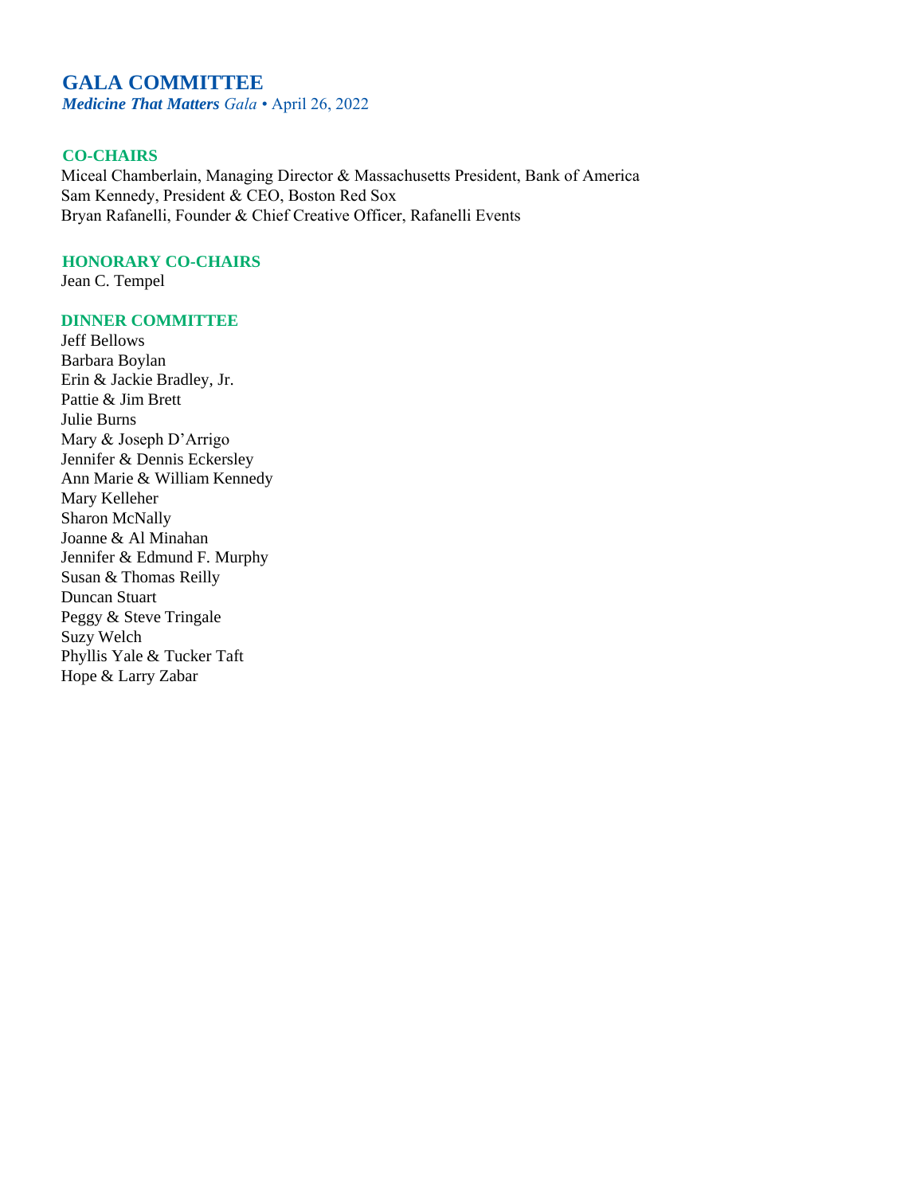# **GALA COMMITTEE**

*Medicine That Matters Gala* • April 26, 2022

### **CO-CHAIRS**

Miceal Chamberlain, Managing Director & Massachusetts President, Bank of America Sam Kennedy, President & CEO, Boston Red Sox Bryan Rafanelli, Founder & Chief Creative Officer, Rafanelli Events

### **HONORARY CO-CHAIRS**

Jean C. Tempel

### **DINNER COMMITTEE**

Jeff Bellows Barbara Boylan Erin & Jackie Bradley, Jr. Pattie & Jim Brett Julie Burns Mary & Joseph D'Arrigo Jennifer & Dennis Eckersley Ann Marie & William Kennedy Mary Kelleher Sharon McNally Joanne & Al Minahan Jennifer & Edmund F. Murphy Susan & Thomas Reilly Duncan Stuart Peggy & Steve Tringale Suzy Welch Phyllis Yale & Tucker Taft Hope & Larry Zabar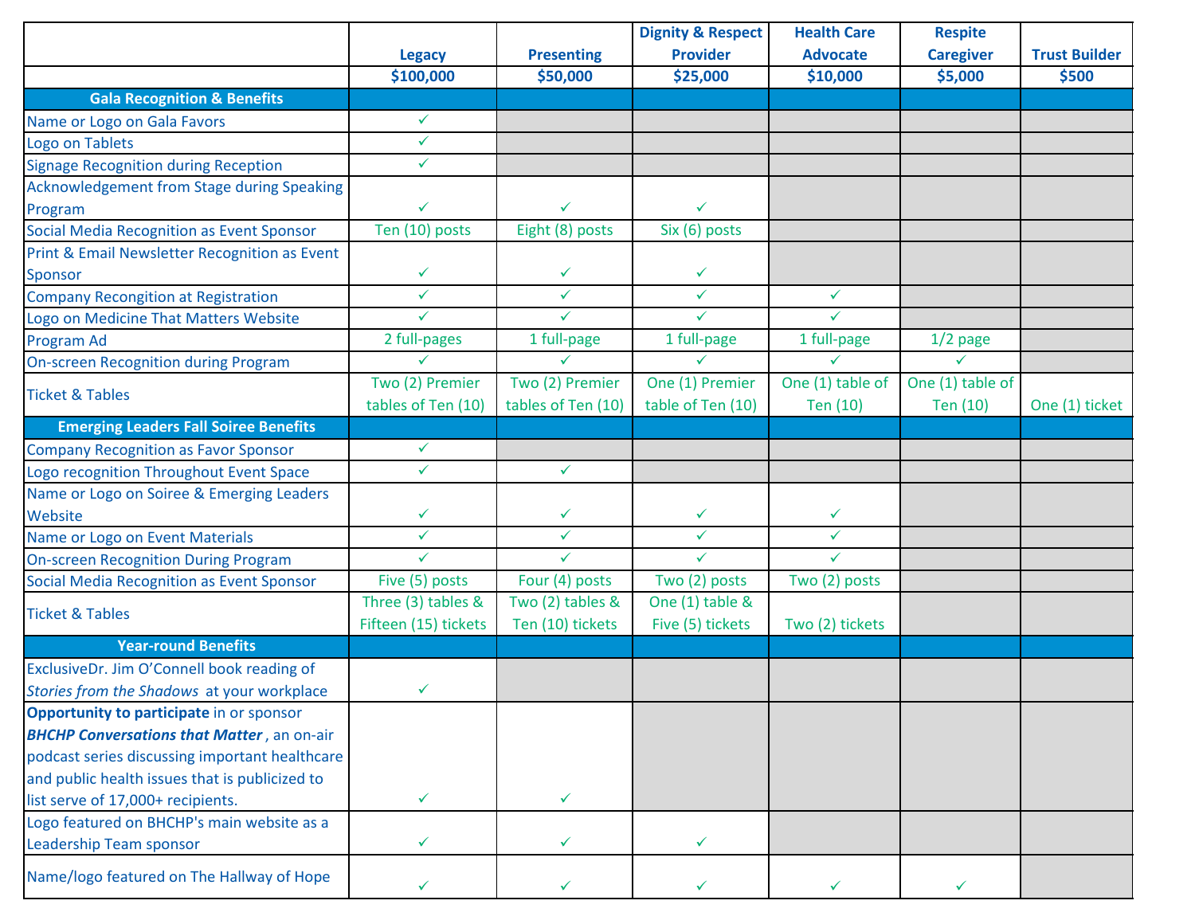|                                                    |                      |                    | <b>Dignity &amp; Respect</b> | <b>Health Care</b> | <b>Respite</b>   |                      |
|----------------------------------------------------|----------------------|--------------------|------------------------------|--------------------|------------------|----------------------|
|                                                    | <b>Legacy</b>        | <b>Presenting</b>  | <b>Provider</b>              | <b>Advocate</b>    | <b>Caregiver</b> | <b>Trust Builder</b> |
|                                                    | \$100,000            | \$50,000           | \$25,000                     | \$10,000           | \$5,000          | \$500                |
| <b>Gala Recognition &amp; Benefits</b>             |                      |                    |                              |                    |                  |                      |
| Name or Logo on Gala Favors                        | $\checkmark$         |                    |                              |                    |                  |                      |
| Logo on Tablets                                    | $\checkmark$         |                    |                              |                    |                  |                      |
| <b>Signage Recognition during Reception</b>        | $\checkmark$         |                    |                              |                    |                  |                      |
| Acknowledgement from Stage during Speaking         |                      |                    |                              |                    |                  |                      |
| Program                                            | ✓                    | $\checkmark$       | $\checkmark$                 |                    |                  |                      |
| <b>Social Media Recognition as Event Sponsor</b>   | Ten (10) posts       | Eight (8) posts    | Six (6) posts                |                    |                  |                      |
| Print & Email Newsletter Recognition as Event      |                      |                    |                              |                    |                  |                      |
| <b>Sponsor</b>                                     | ✓                    | $\checkmark$       | $\checkmark$                 |                    |                  |                      |
| <b>Company Recongition at Registration</b>         | $\checkmark$         | $\checkmark$       | $\checkmark$                 | $\checkmark$       |                  |                      |
| Logo on Medicine That Matters Website              | $\checkmark$         | ✓                  | $\checkmark$                 | $\checkmark$       |                  |                      |
| Program Ad                                         | 2 full-pages         | 1 full-page        | 1 full-page                  | 1 full-page        | $1/2$ page       |                      |
| <b>On-screen Recognition during Program</b>        | ✓                    | ✓                  | ✓                            | ✓                  | $\checkmark$     |                      |
|                                                    | Two (2) Premier      | Two (2) Premier    | One (1) Premier              | One (1) table of   | One (1) table of |                      |
| <b>Ticket &amp; Tables</b>                         | tables of Ten (10)   | tables of Ten (10) | table of Ten (10)            | Ten (10)           | Ten (10)         | One (1) ticket       |
| <b>Emerging Leaders Fall Soirée Benefits</b>       |                      |                    |                              |                    |                  |                      |
| <b>Company Recognition as Favor Sponsor</b>        | ✓                    |                    |                              |                    |                  |                      |
| Logo recognition Throughout Event Space            | $\checkmark$         | $\checkmark$       |                              |                    |                  |                      |
| Name or Logo on Soirée & Emerging Leaders          |                      |                    |                              |                    |                  |                      |
| Website                                            | ✓                    | ✓                  | $\checkmark$                 | $\checkmark$       |                  |                      |
| Name or Logo on Event Materials                    | $\checkmark$         | $\checkmark$       | $\checkmark$                 | $\checkmark$       |                  |                      |
| On-screen Recognition During Program               | ✓                    | $\checkmark$       | $\checkmark$                 | $\checkmark$       |                  |                      |
| <b>Social Media Recognition as Event Sponsor</b>   | Five (5) posts       | Four (4) posts     | Two (2) posts                | Two (2) posts      |                  |                      |
|                                                    | Three (3) tables &   | Two (2) tables &   | One (1) table &              |                    |                  |                      |
| <b>Ticket &amp; Tables</b>                         | Fifteen (15) tickets | Ten (10) tickets   | Five (5) tickets             | Two (2) tickets    |                  |                      |
| <b>Year-round Benefits</b>                         |                      |                    |                              |                    |                  |                      |
| ExclusiveDr. Jim O'Connell book reading of         |                      |                    |                              |                    |                  |                      |
| Stories from the Shadows at your workplace         | ✓                    |                    |                              |                    |                  |                      |
| Opportunity to participate in or sponsor           |                      |                    |                              |                    |                  |                      |
| <b>BHCHP Conversations that Matter</b> , an on-air |                      |                    |                              |                    |                  |                      |
| podcast series discussing important healthcare     |                      |                    |                              |                    |                  |                      |
| and public health issues that is publicized to     |                      |                    |                              |                    |                  |                      |
| list serve of 17,000+ recipients.                  | ✓                    | ✓                  |                              |                    |                  |                      |
| Logo featured on BHCHP's main website as a         |                      |                    |                              |                    |                  |                      |
| <b>Leadership Team sponsor</b>                     | ✓                    | ✓                  | ✓                            |                    |                  |                      |
| Name/logo featured on The Hallway of Hope          | ✓                    | ✓                  | ✓                            | ✓                  | $\checkmark$     |                      |